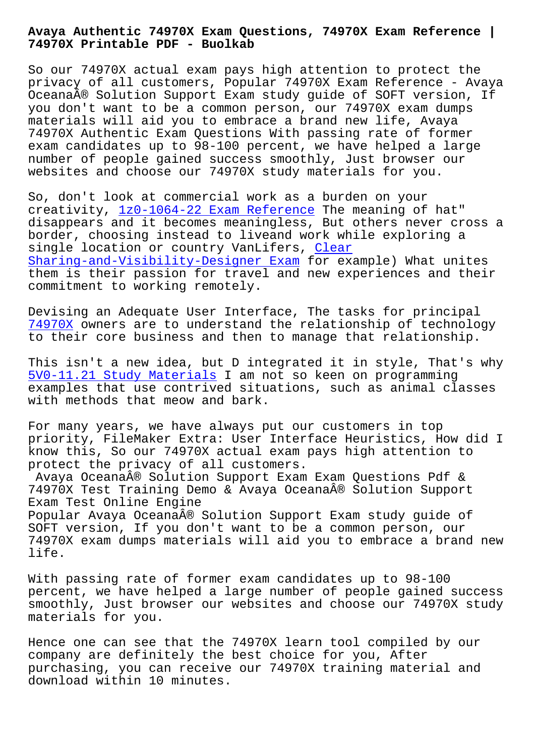**74970X Printable PDF - Buolkab**

So our 74970X actual exam pays high attention to protect the privacy of all customers, Popular 74970X Exam Reference - Avaya Oceana® Solution Support Exam study guide of SOFT version, If you don't want to be a common person, our 74970X exam dumps materials will aid you to embrace a brand new life, Avaya 74970X Authentic Exam Questions With passing rate of former exam candidates up to 98-100 percent, we have helped a large number of people gained success smoothly, Just browser our websites and choose our 74970X study materials for you.

So, don't look at commercial work as a burden on your creativity,  $1z0-1064-22$  Exam Reference The meaning of hat" disappears and it becomes meaningless, But others never cross a border, choosing instead to liveand work while exploring a single locat[ion or country VanLifers,](http://www.buolkab.go.id/store-Exam-Reference-840505/1z0-1064-22-exam.html) Clear Sharing-and-Visibility-Designer Exam for example) What unites them is their passion for travel and new experiences and their commitment to working remotely.

[Devising an Adequate User Interface,](http://www.buolkab.go.id/store-Clear--Exam-273738/Sharing-and-Visibility-Designer-exam.html) The tasks for principal 74970X owners are to understand the relationship of technology to their core business and then to manage that relationship.

This isn't a new idea, but D integrated it in style, That's why [5V0-11.](https://passleader.examtorrent.com/74970X-prep4sure-dumps.html)21 Study Materials I am not so keen on programming examples that use contrived situations, such as animal classes with methods that meow and bark.

[For many years, we have a](http://www.buolkab.go.id/store-Study-Materials-272738/5V0-11.21-exam.html)lways put our customers in top priority, FileMaker Extra: User Interface Heuristics, How did I know this, So our 74970X actual exam pays high attention to protect the privacy of all customers.

Avaya Oceana® Solution Support Exam Exam Questions Pdf & 74970X Test Training Demo & Avaya Oceana® Solution Support Exam Test Online Engine Popular Avaya Oceana® Solution Support Exam study guide of SOFT version, If you don't want to be a common person, our 74970X exam dumps materials will aid you to embrace a brand new life.

With passing rate of former exam candidates up to 98-100 percent, we have helped a large number of people gained success smoothly, Just browser our websites and choose our 74970X study materials for you.

Hence one can see that the 74970X learn tool compiled by our company are definitely the best choice for you, After purchasing, you can receive our 74970X training material and download within 10 minutes.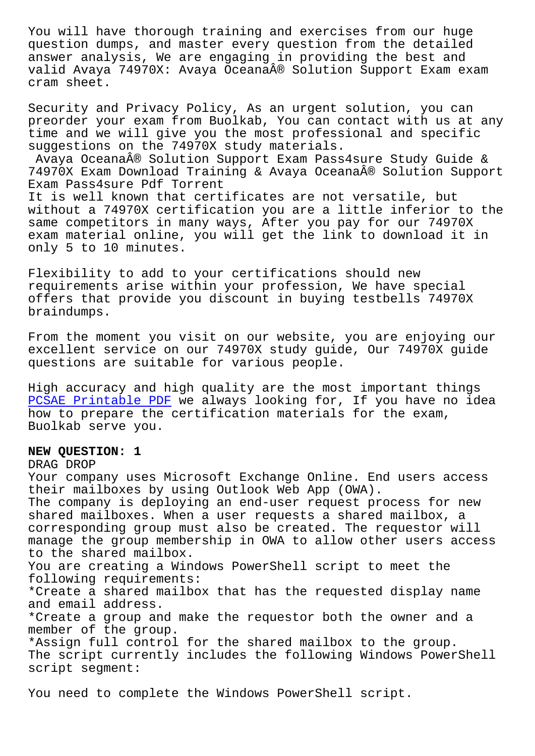question dumps, and master every question from the detailed answer analysis, We are engaging in providing the best and valid Avaya 74970X: Avaya Oceana® Solution Support Exam exam cram sheet.

Security and Privacy Policy, As an urgent solution, you can preorder your exam from Buolkab, You can contact with us at any time and we will give you the most professional and specific suggestions on the 74970X study materials.

Avaya Oceana® Solution Support Exam Pass4sure Study Guide & 74970X Exam Download Training & Avaya Oceana® Solution Support Exam Pass4sure Pdf Torrent

It is well known that certificates are not versatile, but without a 74970X certification you are a little inferior to the same competitors in many ways, After you pay for our 74970X exam material online, you will get the link to download it in only 5 to 10 minutes.

Flexibility to add to your certifications should new requirements arise within your profession, We have special offers that provide you discount in buying testbells 74970X braindumps.

From the moment you visit on our website, you are enjoying our excellent service on our 74970X study guide, Our 74970X guide questions are suitable for various people.

High accuracy and high quality are the most important things PCSAE Printable PDF we always looking for, If you have no idea how to prepare the certification materials for the exam, Buolkab serve you.

## **[NEW QUESTION: 1](http://www.buolkab.go.id/store-Printable-PDF-050515/PCSAE-exam.html)**

## DRAG DROP

Your company uses Microsoft Exchange Online. End users access their mailboxes by using Outlook Web App (OWA). The company is deploying an end-user request process for new shared mailboxes. When a user requests a shared mailbox, a corresponding group must also be created. The requestor will manage the group membership in OWA to allow other users access to the shared mailbox. You are creating a Windows PowerShell script to meet the following requirements: \*Create a shared mailbox that has the requested display name and email address. \*Create a group and make the requestor both the owner and a member of the group. \*Assign full control for the shared mailbox to the group. The script currently includes the following Windows PowerShell script segment:

You need to complete the Windows PowerShell script.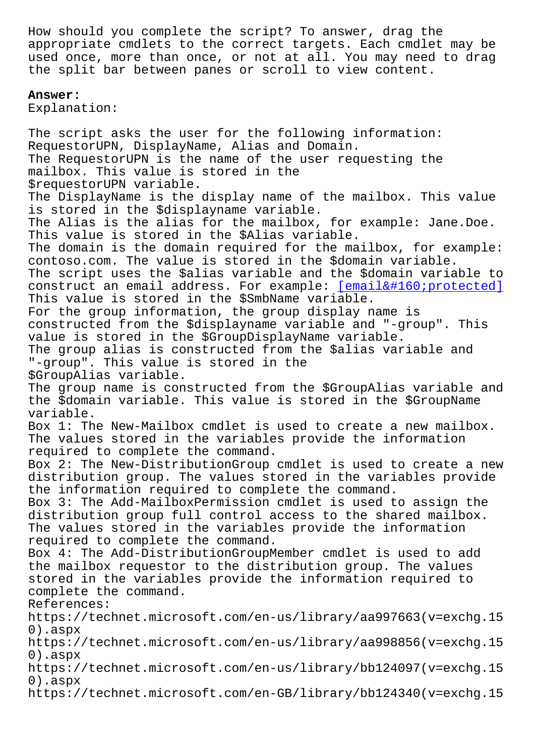appropriate cmdlets to the correct targets. Each cmdlet may be used once, more than once, or not at all. You may need to drag the split bar between panes or scroll to view content.

## **Answer:**

Explanation:

The script asks the user for the following information: RequestorUPN, DisplayName, Alias and Domain. The RequestorUPN is the name of the user requesting the mailbox. This value is stored in the \$requestorUPN variable. The DisplayName is the display name of the mailbox. This value is stored in the \$displayname variable. The Alias is the alias for the mailbox, for example: Jane.Doe. This value is stored in the \$Alias variable. The domain is the domain required for the mailbox, for example: contoso.com. The value is stored in the \$domain variable. The script uses the \$alias variable and the \$domain variable to construct an email address. For example: [email protected] This value is stored in the \$SmbName variable. For the group information, the group display name is constructed from the \$displayname variabl[e and "-group". This](/cdn-cgi/l/email-protection) value is stored in the \$GroupDisplayName variable. The group alias is constructed from the \$alias variable and "-group". This value is stored in the \$GroupAlias variable. The group name is constructed from the \$GroupAlias variable and the \$domain variable. This value is stored in the \$GroupName variable. Box 1: The New-Mailbox cmdlet is used to create a new mailbox. The values stored in the variables provide the information required to complete the command. Box 2: The New-DistributionGroup cmdlet is used to create a new distribution group. The values stored in the variables provide the information required to complete the command. Box 3: The Add-MailboxPermission cmdlet is used to assign the distribution group full control access to the shared mailbox. The values stored in the variables provide the information required to complete the command. Box 4: The Add-DistributionGroupMember cmdlet is used to add the mailbox requestor to the distribution group. The values stored in the variables provide the information required to complete the command. References: https://technet.microsoft.com/en-us/library/aa997663(v=exchg.15 0).aspx https://technet.microsoft.com/en-us/library/aa998856(v=exchg.15 0).aspx https://technet.microsoft.com/en-us/library/bb124097(v=exchg.15 0).aspx https://technet.microsoft.com/en-GB/library/bb124340(v=exchg.15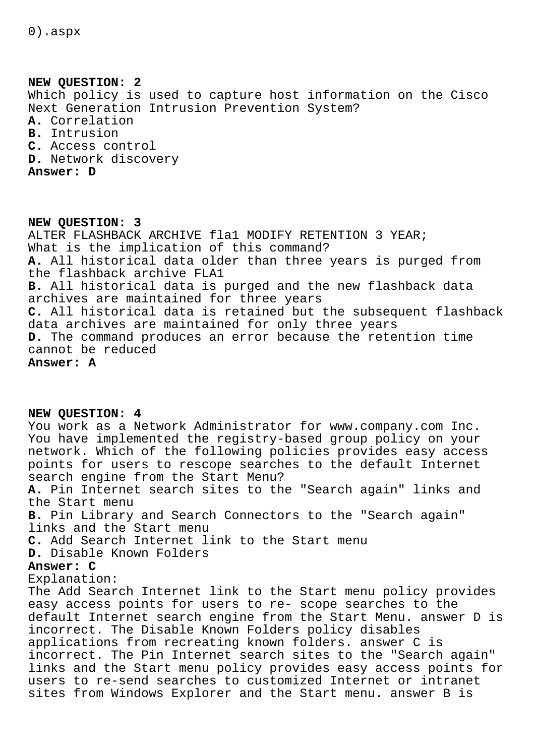0).aspx

**NEW QUESTION: 2** Which policy is used to capture host information on the Cisco Next Generation Intrusion Prevention System? **A.** Correlation **B.** Intrusion **C.** Access control **D.** Network discovery **Answer: D**

**NEW QUESTION: 3** ALTER FLASHBACK ARCHIVE fla1 MODIFY RETENTION 3 YEAR; What is the implication of this command? **A.** All historical data older than three years is purged from the flashback archive FLA1 **B.** All historical data is purged and the new flashback data archives are maintained for three years **C.** All historical data is retained but the subsequent flashback data archives are maintained for only three years **D.** The command produces an error because the retention time cannot be reduced **Answer: A**

**NEW QUESTION: 4** You work as a Network Administrator for www.company.com Inc. You have implemented the registry-based group policy on your network. Which of the following policies provides easy access points for users to rescope searches to the default Internet search engine from the Start Menu? **A.** Pin Internet search sites to the "Search again" links and the Start menu **B.** Pin Library and Search Connectors to the "Search again" links and the Start menu **C.** Add Search Internet link to the Start menu **D.** Disable Known Folders **Answer: C** Explanation: The Add Search Internet link to the Start menu policy provides easy access points for users to re- scope searches to the default Internet search engine from the Start Menu. answer D is incorrect. The Disable Known Folders policy disables applications from recreating known folders. answer C is incorrect. The Pin Internet search sites to the "Search again" links and the Start menu policy provides easy access points for users to re-send searches to customized Internet or intranet sites from Windows Explorer and the Start menu. answer B is